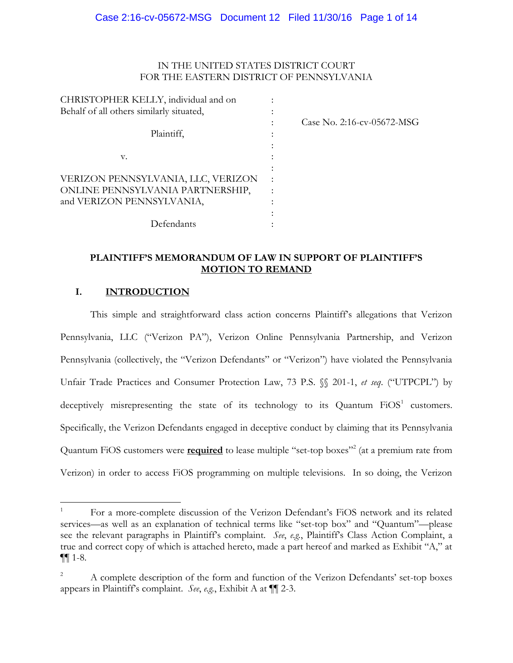### IN THE UNITED STATES DISTRICT COURT FOR THE EASTERN DISTRICT OF PENNSYLVANIA

| CHRISTOPHER KELLY, individual and on     |           |                            |
|------------------------------------------|-----------|----------------------------|
| Behalf of all others similarly situated, |           |                            |
|                                          |           | Case No. 2:16-cv-05672-MSG |
| Plaintiff,                               |           |                            |
| V.                                       |           |                            |
|                                          |           |                            |
| VERIZON PENNSYLVANIA, LLC, VERIZON       | $\bullet$ |                            |
| ONLINE PENNSYLVANIA PARTNERSHIP,         |           |                            |
| and VERIZON PENNSYLVANIA,                |           |                            |
|                                          |           |                            |
| Defendants                               |           |                            |

## **PLAINTIFF'S MEMORANDUM OF LAW IN SUPPORT OF PLAINTIFF'S MOTION TO REMAND**

## **I. INTRODUCTION**

 $\overline{\phantom{a}}$ 

This simple and straightforward class action concerns Plaintiff's allegations that Verizon Pennsylvania, LLC ("Verizon PA"), Verizon Online Pennsylvania Partnership, and Verizon Pennsylvania (collectively, the "Verizon Defendants" or "Verizon") have violated the Pennsylvania Unfair Trade Practices and Consumer Protection Law, 73 P.S. §§ 201-1, *et seq*. ("UTPCPL") by deceptively misrepresenting the state of its technology to its Quantum  $FiOS<sup>1</sup>$  customers. Specifically, the Verizon Defendants engaged in deceptive conduct by claiming that its Pennsylvania Quantum FiOS customers were **<u>required</u>** to lease multiple "set-top boxes"<sup>2</sup> (at a premium rate from Verizon) in order to access FiOS programming on multiple televisions. In so doing, the Verizon

<sup>1</sup> For a more-complete discussion of the Verizon Defendant's FiOS network and its related services—as well as an explanation of technical terms like "set-top box" and "Quantum"—please see the relevant paragraphs in Plaintiff's complaint. *See*, *e.g.*, Plaintiff's Class Action Complaint, a true and correct copy of which is attached hereto, made a part hereof and marked as Exhibit "A," at ¶¶ 1-8.

<sup>2</sup> A complete description of the form and function of the Verizon Defendants' set-top boxes appears in Plaintiff's complaint. *See*, *e.g.*, Exhibit A at ¶¶ 2-3.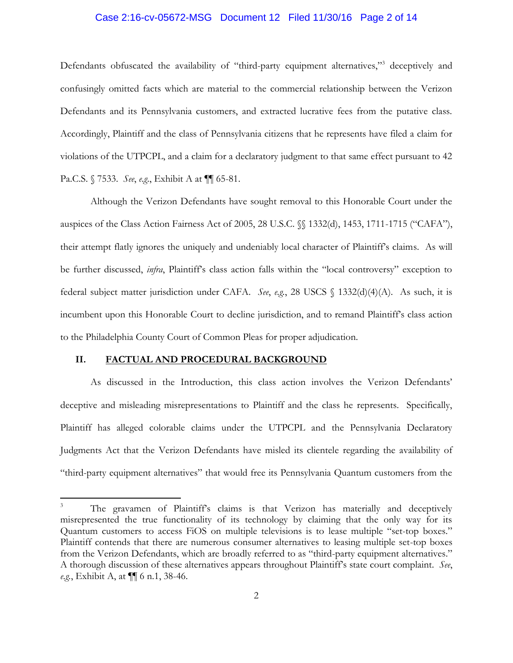#### Case 2:16-cv-05672-MSG Document 12 Filed 11/30/16 Page 2 of 14

Defendants obfuscated the availability of "third-party equipment alternatives,"<sup>3</sup> deceptively and confusingly omitted facts which are material to the commercial relationship between the Verizon Defendants and its Pennsylvania customers, and extracted lucrative fees from the putative class. Accordingly, Plaintiff and the class of Pennsylvania citizens that he represents have filed a claim for violations of the UTPCPL, and a claim for a declaratory judgment to that same effect pursuant to 42 Pa.C.S. § 7533. *See*, *e.g*., Exhibit A at ¶¶ 65-81.

Although the Verizon Defendants have sought removal to this Honorable Court under the auspices of the Class Action Fairness Act of 2005, 28 U.S.C. §§ 1332(d), 1453, 1711-1715 ("CAFA"), their attempt flatly ignores the uniquely and undeniably local character of Plaintiff's claims. As will be further discussed, *infra*, Plaintiff's class action falls within the "local controversy" exception to federal subject matter jurisdiction under CAFA. *See*, *e.g.*, 28 USCS § 1332(d)(4)(A). As such, it is incumbent upon this Honorable Court to decline jurisdiction, and to remand Plaintiff's class action to the Philadelphia County Court of Common Pleas for proper adjudication.

### **II. FACTUAL AND PROCEDURAL BACKGROUND**

 $\overline{\phantom{a}}$ 

As discussed in the Introduction, this class action involves the Verizon Defendants' deceptive and misleading misrepresentations to Plaintiff and the class he represents. Specifically, Plaintiff has alleged colorable claims under the UTPCPL and the Pennsylvania Declaratory Judgments Act that the Verizon Defendants have misled its clientele regarding the availability of "third-party equipment alternatives" that would free its Pennsylvania Quantum customers from the

The gravamen of Plaintiff's claims is that Verizon has materially and deceptively misrepresented the true functionality of its technology by claiming that the only way for its Quantum customers to access FiOS on multiple televisions is to lease multiple "set-top boxes." Plaintiff contends that there are numerous consumer alternatives to leasing multiple set-top boxes from the Verizon Defendants, which are broadly referred to as "third-party equipment alternatives." A thorough discussion of these alternatives appears throughout Plaintiff's state court complaint. *See*, *e.g.*, Exhibit A, at ¶¶ 6 n.1, 38-46.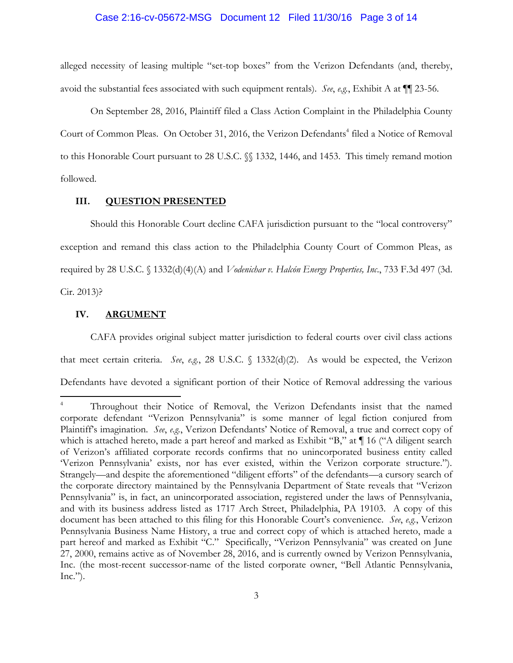#### Case 2:16-cv-05672-MSG Document 12 Filed 11/30/16 Page 3 of 14

alleged necessity of leasing multiple "set-top boxes" from the Verizon Defendants (and, thereby, avoid the substantial fees associated with such equipment rentals). *See*, *e.g.*, Exhibit A at ¶¶ 23-56.

On September 28, 2016, Plaintiff filed a Class Action Complaint in the Philadelphia County Court of Common Pleas. On October 31, 2016, the Verizon Defendants<sup>4</sup> filed a Notice of Removal to this Honorable Court pursuant to 28 U.S.C. §§ 1332, 1446, and 1453. This timely remand motion followed.

#### **III. QUESTION PRESENTED**

Should this Honorable Court decline CAFA jurisdiction pursuant to the "local controversy" exception and remand this class action to the Philadelphia County Court of Common Pleas, as required by 28 U.S.C. § 1332(d)(4)(A) and *Vodenichar v. Halcón Energy Properties, Inc*., 733 F.3d 497 (3d. Cir. 2013)?

### **IV. ARGUMENT**

 $\overline{\phantom{a}}$ 

CAFA provides original subject matter jurisdiction to federal courts over civil class actions that meet certain criteria. *See*, *e.g.*, 28 U.S.C. § 1332(d)(2). As would be expected, the Verizon Defendants have devoted a significant portion of their Notice of Removal addressing the various

Throughout their Notice of Removal, the Verizon Defendants insist that the named corporate defendant "Verizon Pennsylvania" is some manner of legal fiction conjured from Plaintiff's imagination. *See*, *e.g.*, Verizon Defendants' Notice of Removal, a true and correct copy of which is attached hereto, made a part hereof and marked as Exhibit "B," at  $\P$  16 ("A diligent search of Verizon's affiliated corporate records confirms that no unincorporated business entity called 'Verizon Pennsylvania' exists, nor has ever existed, within the Verizon corporate structure."). Strangely—and despite the aforementioned "diligent efforts" of the defendants—a cursory search of the corporate directory maintained by the Pennsylvania Department of State reveals that "Verizon Pennsylvania" is, in fact, an unincorporated association, registered under the laws of Pennsylvania, and with its business address listed as 1717 Arch Street, Philadelphia, PA 19103. A copy of this document has been attached to this filing for this Honorable Court's convenience. *See*, *e.g.*, Verizon Pennsylvania Business Name History, a true and correct copy of which is attached hereto, made a part hereof and marked as Exhibit "C." Specifically, "Verizon Pennsylvania" was created on June 27, 2000, remains active as of November 28, 2016, and is currently owned by Verizon Pennsylvania, Inc. (the most-recent successor-name of the listed corporate owner, "Bell Atlantic Pennsylvania,  $Inc."$ ).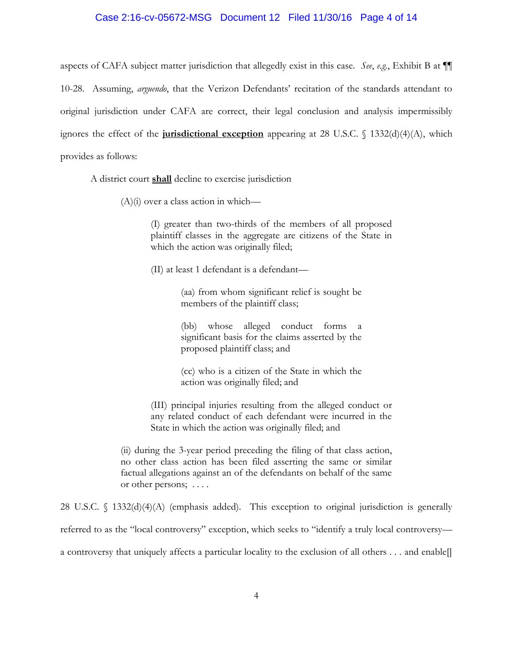#### Case 2:16-cv-05672-MSG Document 12 Filed 11/30/16 Page 4 of 14

aspects of CAFA subject matter jurisdiction that allegedly exist in this case. *See*, *e.g.*, Exhibit B at ¶¶ 10-28. Assuming, *arguendo*, that the Verizon Defendants' recitation of the standards attendant to original jurisdiction under CAFA are correct, their legal conclusion and analysis impermissibly ignores the effect of the **jurisdictional exception** appearing at 28 U.S.C. § 1332(d)(4)(A), which provides as follows:

A district court **shall** decline to exercise jurisdiction

 $(A)(i)$  over a class action in which—

(I) greater than two-thirds of the members of all proposed plaintiff classes in the aggregate are citizens of the State in which the action was originally filed;

(II) at least 1 defendant is a defendant—

(aa) from whom significant relief is sought be members of the plaintiff class;

(bb) whose alleged conduct forms a significant basis for the claims asserted by the proposed plaintiff class; and

(cc) who is a citizen of the State in which the action was originally filed; and

(III) principal injuries resulting from the alleged conduct or any related conduct of each defendant were incurred in the State in which the action was originally filed; and

(ii) during the 3-year period preceding the filing of that class action, no other class action has been filed asserting the same or similar factual allegations against an of the defendants on behalf of the same or other persons; . . . .

28 U.S.C. § 1332(d)(4)(A) (emphasis added). This exception to original jurisdiction is generally referred to as the "local controversy" exception, which seeks to "identify a truly local controversy a controversy that uniquely affects a particular locality to the exclusion of all others . . . and enable[]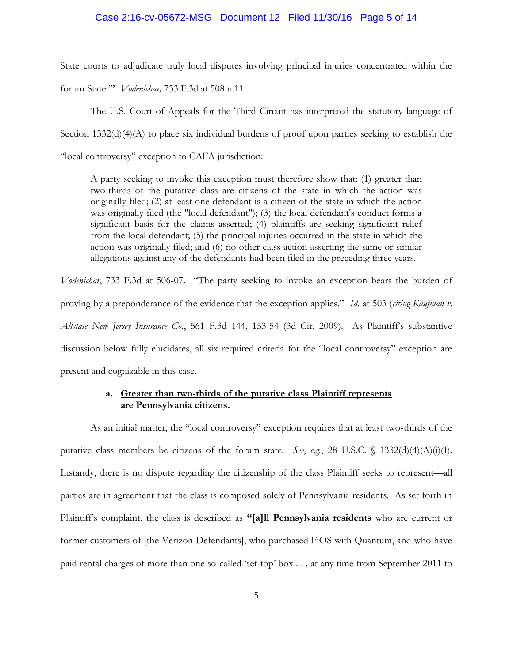#### Case 2:16-cv-05672-MSG Document 12 Filed 11/30/16 Page 5 of 14

State courts to adjudicate truly local disputes involving principal injuries concentrated within the

forum State.'" *Vodenichar,* 733 F.3d at 508 n.11.

The U.S. Court of Appeals for the Third Circuit has interpreted the statutory language of Section 1332(d)(4)(A) to place six individual burdens of proof upon parties seeking to establish the "local controversy" exception to CAFA jurisdiction:

A party seeking to invoke this exception must therefore show that: (1) greater than two-thirds of the putative class are citizens of the state in which the action was originally filed; (2) at least one defendant is a citizen of the state in which the action was originally filed (the "local defendant"); (3) the local defendant's conduct forms a significant basis for the claims asserted; (4) plaintiffs are seeking significant relief from the local defendant; (5) the principal injuries occurred in the state in which the action was originally filed; and (6) no other class action asserting the same or similar allegations against any of the defendants had been filed in the preceding three years.

*Vodenichar*, 733 F.3d at 506-07. "The party seeking to invoke an exception bears the burden of proving by a preponderance of the evidence that the exception applies." *Id.* at 503 (*citing Kaufman v. Allstate New Jersey Insurance Co*., 561 F.3d 144, 153-54 (3d Cir. 2009). As Plaintiff's substantive discussion below fully elucidates, all six required criteria for the "local controversy" exception are present and cognizable in this case.

### **a. Greater than two-thirds of the putative class Plaintiff represents are Pennsylvania citizens.**

As an initial matter, the "local controversy" exception requires that at least two-thirds of the putative class members be citizens of the forum state. *See*, *e.g.*, 28 U.S.C.  $\binom{1332(d)(4)(A)(i)}{I}$ . Instantly, there is no dispute regarding the citizenship of the class Plaintiff seeks to represent—all parties are in agreement that the class is composed solely of Pennsylvania residents. As set forth in Plaintiff's complaint, the class is described as **"[a]ll Pennsylvania residents** who are current or former customers of [the Verizon Defendants], who purchased FiOS with Quantum, and who have paid rental charges of more than one so-called 'set-top' box . . . at any time from September 2011 to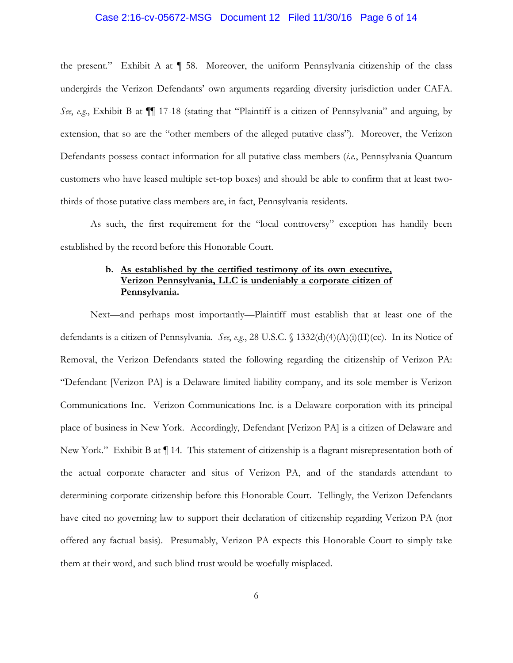#### Case 2:16-cv-05672-MSG Document 12 Filed 11/30/16 Page 6 of 14

the present." Exhibit A at  $\P$  58. Moreover, the uniform Pennsylvania citizenship of the class undergirds the Verizon Defendants' own arguments regarding diversity jurisdiction under CAFA. *See*, *e.g.*, Exhibit B at ¶¶ 17-18 (stating that "Plaintiff is a citizen of Pennsylvania" and arguing, by extension, that so are the "other members of the alleged putative class"). Moreover, the Verizon Defendants possess contact information for all putative class members (*i.e.*, Pennsylvania Quantum customers who have leased multiple set-top boxes) and should be able to confirm that at least twothirds of those putative class members are, in fact, Pennsylvania residents.

As such, the first requirement for the "local controversy" exception has handily been established by the record before this Honorable Court.

## **b. As established by the certified testimony of its own executive, Verizon Pennsylvania, LLC is undeniably a corporate citizen of Pennsylvania.**

Next—and perhaps most importantly—Plaintiff must establish that at least one of the defendants is a citizen of Pennsylvania. *See*, *e.g.*, 28 U.S.C. § 1332(d)(4)(A)(i)(II)(cc). In its Notice of Removal, the Verizon Defendants stated the following regarding the citizenship of Verizon PA: "Defendant [Verizon PA] is a Delaware limited liability company, and its sole member is Verizon Communications Inc. Verizon Communications Inc. is a Delaware corporation with its principal place of business in New York. Accordingly, Defendant [Verizon PA] is a citizen of Delaware and New York." Exhibit B at  $\P$  14. This statement of citizenship is a flagrant misrepresentation both of the actual corporate character and situs of Verizon PA, and of the standards attendant to determining corporate citizenship before this Honorable Court. Tellingly, the Verizon Defendants have cited no governing law to support their declaration of citizenship regarding Verizon PA (nor offered any factual basis). Presumably, Verizon PA expects this Honorable Court to simply take them at their word, and such blind trust would be woefully misplaced.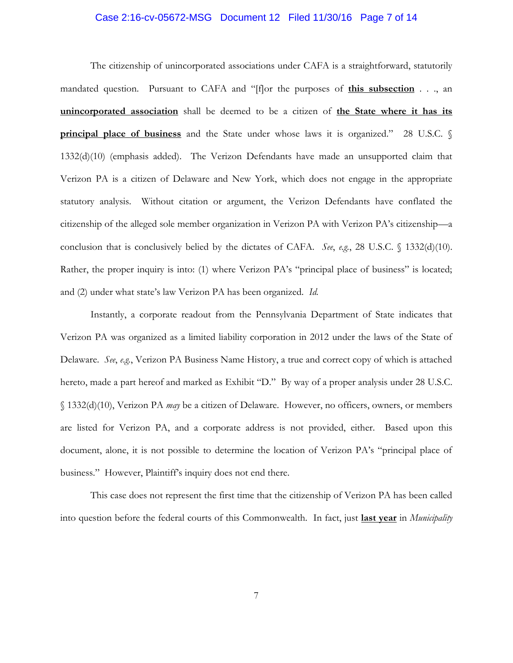#### Case 2:16-cv-05672-MSG Document 12 Filed 11/30/16 Page 7 of 14

The citizenship of unincorporated associations under CAFA is a straightforward, statutorily mandated question. Pursuant to CAFA and "[f]or the purposes of **this subsection** . . ., an **unincorporated association** shall be deemed to be a citizen of **the State where it has its principal place of business** and the State under whose laws it is organized." 28 U.S.C. § 1332(d)(10) (emphasis added). The Verizon Defendants have made an unsupported claim that Verizon PA is a citizen of Delaware and New York, which does not engage in the appropriate statutory analysis. Without citation or argument, the Verizon Defendants have conflated the citizenship of the alleged sole member organization in Verizon PA with Verizon PA's citizenship—a conclusion that is conclusively belied by the dictates of CAFA. *See*, *e.g.*, 28 U.S.C. § 1332(d)(10). Rather, the proper inquiry is into: (1) where Verizon PA's "principal place of business" is located; and (2) under what state's law Verizon PA has been organized. *Id.*

Instantly, a corporate readout from the Pennsylvania Department of State indicates that Verizon PA was organized as a limited liability corporation in 2012 under the laws of the State of Delaware. *See*, *e.g.*, Verizon PA Business Name History, a true and correct copy of which is attached hereto, made a part hereof and marked as Exhibit "D." By way of a proper analysis under 28 U.S.C. § 1332(d)(10), Verizon PA *may* be a citizen of Delaware. However, no officers, owners, or members are listed for Verizon PA, and a corporate address is not provided, either. Based upon this document, alone, it is not possible to determine the location of Verizon PA's "principal place of business." However, Plaintiff's inquiry does not end there.

This case does not represent the first time that the citizenship of Verizon PA has been called into question before the federal courts of this Commonwealth. In fact, just **last year** in *Municipality*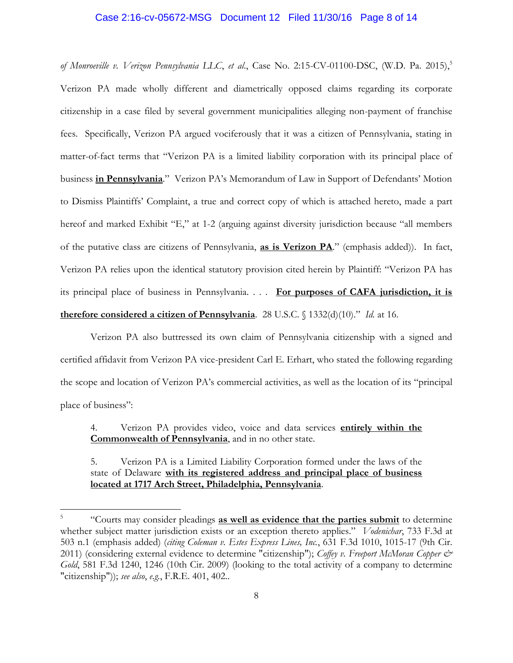#### Case 2:16-cv-05672-MSG Document 12 Filed 11/30/16 Page 8 of 14

*of Monroeville v. Verizon Pennsylvania LLC*, *et al*., Case No. 2:15-CV-01100-DSC, (W.D. Pa. 2015),<sup>5</sup> Verizon PA made wholly different and diametrically opposed claims regarding its corporate citizenship in a case filed by several government municipalities alleging non-payment of franchise fees. Specifically, Verizon PA argued vociferously that it was a citizen of Pennsylvania, stating in matter-of-fact terms that "Verizon PA is a limited liability corporation with its principal place of business **in Pennsylvania**." Verizon PA's Memorandum of Law in Support of Defendants' Motion to Dismiss Plaintiffs' Complaint, a true and correct copy of which is attached hereto, made a part hereof and marked Exhibit "E," at 1-2 (arguing against diversity jurisdiction because "all members of the putative class are citizens of Pennsylvania, **as is Verizon PA**." (emphasis added)). In fact, Verizon PA relies upon the identical statutory provision cited herein by Plaintiff: "Verizon PA has its principal place of business in Pennsylvania. . . . **For purposes of CAFA jurisdiction, it is therefore considered a citizen of Pennsylvania**. 28 U.S.C. § 1332(d)(10)." *Id.* at 16.

Verizon PA also buttressed its own claim of Pennsylvania citizenship with a signed and certified affidavit from Verizon PA vice-president Carl E. Erhart, who stated the following regarding the scope and location of Verizon PA's commercial activities, as well as the location of its "principal place of business":

4. Verizon PA provides video, voice and data services **entirely within the Commonwealth of Pennsylvania**, and in no other state.

5. Verizon PA is a Limited Liability Corporation formed under the laws of the state of Delaware **with its registered address and principal place of business located at 1717 Arch Street, Philadelphia, Pennsylvania**.

 $\overline{\phantom{a}}$ 

<sup>5</sup> "Courts may consider pleadings **as well as evidence that the parties submit** to determine whether subject matter jurisdiction exists or an exception thereto applies." *Vodenichar*, 733 F.3d at 503 n.1 (emphasis added) (*citing Coleman v. Estes Express Lines, Inc.*, 631 F.3d 1010, 1015-17 (9th Cir. 2011) (considering external evidence to determine "citizenship"); *Coffey v. Freeport McMoran Copper & Gold*, 581 F.3d 1240, 1246 (10th Cir. 2009) (looking to the total activity of a company to determine "citizenship")); *see also*, *e.g.*, F.R.E. 401, 402..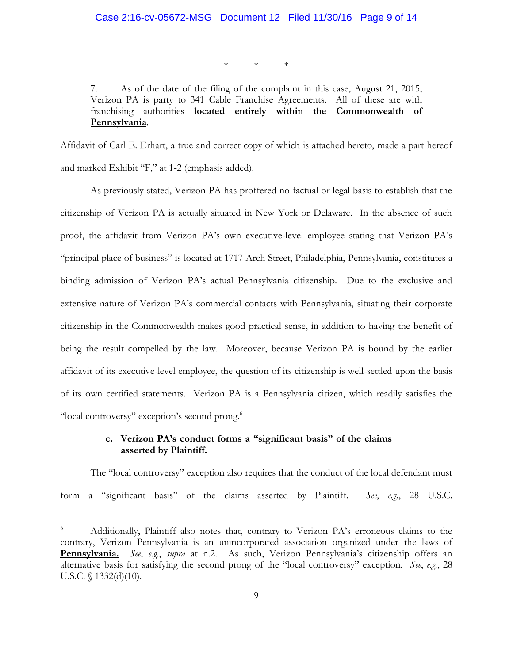\* \* \*

7. As of the date of the filing of the complaint in this case, August 21, 2015, Verizon PA is party to 341 Cable Franchise Agreements. All of these are with franchising authorities **located entirely within the Commonwealth of Pennsylvania**.

Affidavit of Carl E. Erhart, a true and correct copy of which is attached hereto, made a part hereof and marked Exhibit "F," at 1-2 (emphasis added).

As previously stated, Verizon PA has proffered no factual or legal basis to establish that the citizenship of Verizon PA is actually situated in New York or Delaware. In the absence of such proof, the affidavit from Verizon PA's own executive-level employee stating that Verizon PA's "principal place of business" is located at 1717 Arch Street, Philadelphia, Pennsylvania, constitutes a binding admission of Verizon PA's actual Pennsylvania citizenship. Due to the exclusive and extensive nature of Verizon PA's commercial contacts with Pennsylvania, situating their corporate citizenship in the Commonwealth makes good practical sense, in addition to having the benefit of being the result compelled by the law. Moreover, because Verizon PA is bound by the earlier affidavit of its executive-level employee, the question of its citizenship is well-settled upon the basis of its own certified statements. Verizon PA is a Pennsylvania citizen, which readily satisfies the "local controversy" exception's second prong.<sup>6</sup>

## **c. Verizon PA's conduct forms a "significant basis" of the claims asserted by Plaintiff.**

The "local controversy" exception also requires that the conduct of the local defendant must form a "significant basis" of the claims asserted by Plaintiff. *See*, *e.g.*, 28 U.S.C.

 $\overline{\phantom{a}}$ 

<sup>6</sup> Additionally, Plaintiff also notes that, contrary to Verizon PA's erroneous claims to the contrary, Verizon Pennsylvania is an unincorporated association organized under the laws of **Pennsylvania.** *See*, *e.g.*, *supra* at n.2. As such, Verizon Pennsylvania's citizenship offers an alternative basis for satisfying the second prong of the "local controversy" exception. *See*, *e.g.*, 28 U.S.C.  $\{(1332(d)(10))$ .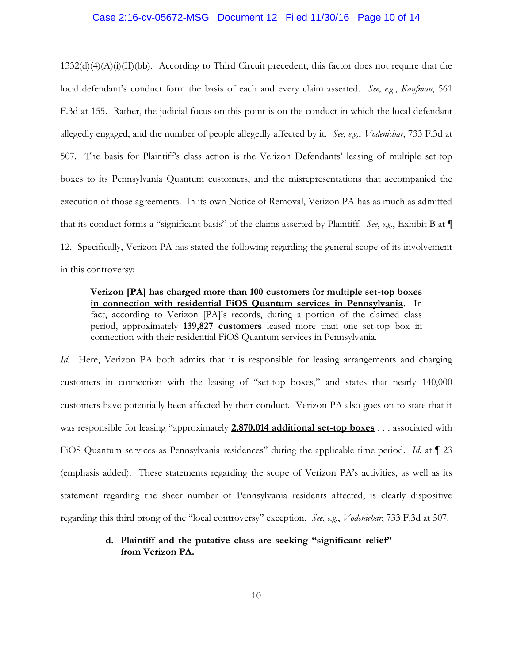#### Case 2:16-cv-05672-MSG Document 12 Filed 11/30/16 Page 10 of 14

 $1332(d)(4)(A)(i)(II)(bb)$ . According to Third Circuit precedent, this factor does not require that the local defendant's conduct form the basis of each and every claim asserted. *See*, *e.g.*, *Kaufman*, 561 F.3d at 155. Rather, the judicial focus on this point is on the conduct in which the local defendant allegedly engaged, and the number of people allegedly affected by it. *See*, *e.g.*, *Vodenichar*, 733 F.3d at 507. The basis for Plaintiff's class action is the Verizon Defendants' leasing of multiple set-top boxes to its Pennsylvania Quantum customers, and the misrepresentations that accompanied the execution of those agreements. In its own Notice of Removal, Verizon PA has as much as admitted that its conduct forms a "significant basis" of the claims asserted by Plaintiff. *See*, *e.g.*, Exhibit B at ¶ 12. Specifically, Verizon PA has stated the following regarding the general scope of its involvement in this controversy:

**Verizon [PA] has charged more than 100 customers for multiple set-top boxes in connection with residential FiOS Quantum services in Pennsylvania**. In fact, according to Verizon [PA]'s records, during a portion of the claimed class period, approximately **139,827 customers** leased more than one set-top box in connection with their residential FiOS Quantum services in Pennsylvania.

*Id.* Here, Verizon PA both admits that it is responsible for leasing arrangements and charging customers in connection with the leasing of "set-top boxes," and states that nearly 140,000 customers have potentially been affected by their conduct. Verizon PA also goes on to state that it was responsible for leasing "approximately **2,870,014 additional set-top boxes** . . . associated with FiOS Quantum services as Pennsylvania residences" during the applicable time period. *Id.* at ¶ 23 (emphasis added). These statements regarding the scope of Verizon PA's activities, as well as its statement regarding the sheer number of Pennsylvania residents affected, is clearly dispositive regarding this third prong of the "local controversy" exception. *See*, *e.g.*, *Vodenichar*, 733 F.3d at 507.

## **d. Plaintiff and the putative class are seeking "significant relief" from Verizon PA.**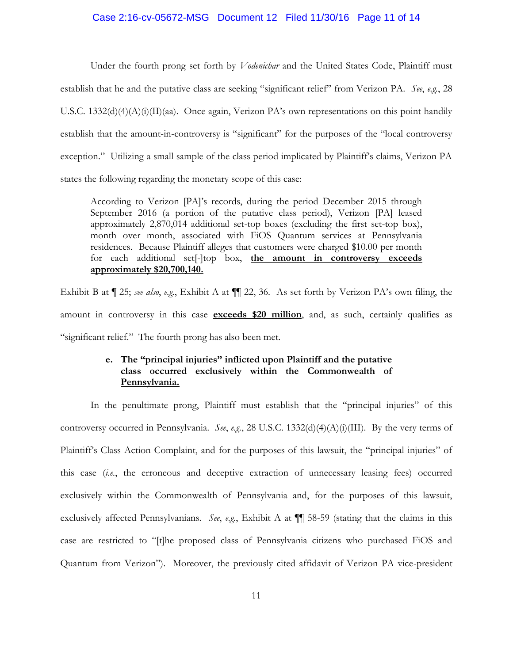#### Case 2:16-cv-05672-MSG Document 12 Filed 11/30/16 Page 11 of 14

Under the fourth prong set forth by *Vodenichar* and the United States Code, Plaintiff must establish that he and the putative class are seeking "significant relief" from Verizon PA. *See*, *e.g.*, 28 U.S.C. 1332(d)(4)(A)(i)(II)(aa). Once again, Verizon PA's own representations on this point handily establish that the amount-in-controversy is "significant" for the purposes of the "local controversy exception." Utilizing a small sample of the class period implicated by Plaintiff's claims, Verizon PA states the following regarding the monetary scope of this case:

According to Verizon [PA]'s records, during the period December 2015 through September 2016 (a portion of the putative class period), Verizon [PA] leased approximately 2,870,014 additional set-top boxes (excluding the first set-top box), month over month, associated with FiOS Quantum services at Pennsylvania residences. Because Plaintiff alleges that customers were charged \$10.00 per month for each additional set[-]top box, **the amount in controversy exceeds approximately \$20,700,140.**

Exhibit B at ¶ 25; *see also*, *e.g.*, Exhibit A at ¶¶ 22, 36. As set forth by Verizon PA's own filing, the amount in controversy in this case **exceeds \$20 million**, and, as such, certainly qualifies as "significant relief." The fourth prong has also been met.

## **e. The "principal injuries" inflicted upon Plaintiff and the putative class occurred exclusively within the Commonwealth of Pennsylvania.**

In the penultimate prong, Plaintiff must establish that the "principal injuries" of this controversy occurred in Pennsylvania. *See*, *e.g.*, 28 U.S.C. 1332(d)(4)(A)(i)(III). By the very terms of Plaintiff's Class Action Complaint, and for the purposes of this lawsuit, the "principal injuries" of this case (*i.e.*, the erroneous and deceptive extraction of unnecessary leasing fees) occurred exclusively within the Commonwealth of Pennsylvania and, for the purposes of this lawsuit, exclusively affected Pennsylvanians. *See*, *e.g.*, Exhibit A at ¶¶ 58-59 (stating that the claims in this case are restricted to "[t]he proposed class of Pennsylvania citizens who purchased FiOS and Quantum from Verizon"). Moreover, the previously cited affidavit of Verizon PA vice-president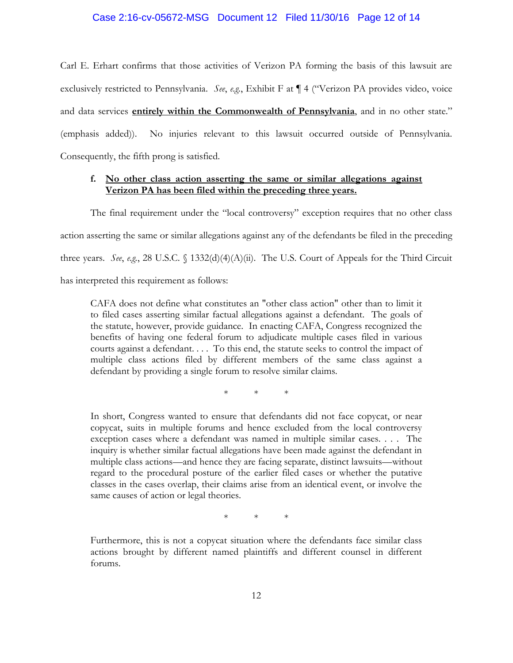### Case 2:16-cv-05672-MSG Document 12 Filed 11/30/16 Page 12 of 14

Carl E. Erhart confirms that those activities of Verizon PA forming the basis of this lawsuit are exclusively restricted to Pennsylvania. *See*, *e.g.*, Exhibit F at ¶ 4 ("Verizon PA provides video, voice and data services **entirely within the Commonwealth of Pennsylvania**, and in no other state." (emphasis added)). No injuries relevant to this lawsuit occurred outside of Pennsylvania. Consequently, the fifth prong is satisfied.

### **f. No other class action asserting the same or similar allegations against Verizon PA has been filed within the preceding three years.**

The final requirement under the "local controversy" exception requires that no other class action asserting the same or similar allegations against any of the defendants be filed in the preceding three years. *See*, *e.g.*, 28 U.S.C. § 1332(d)(4)(A)(ii). The U.S. Court of Appeals for the Third Circuit has interpreted this requirement as follows:

CAFA does not define what constitutes an "other class action" other than to limit it to filed cases asserting similar factual allegations against a defendant. The goals of the statute, however, provide guidance. In enacting CAFA, Congress recognized the benefits of having one federal forum to adjudicate multiple cases filed in various courts against a defendant. . . . To this end, the statute seeks to control the impact of multiple class actions filed by different members of the same class against a defendant by providing a single forum to resolve similar claims.

\* \* \*

In short, Congress wanted to ensure that defendants did not face copycat, or near copycat, suits in multiple forums and hence excluded from the local controversy exception cases where a defendant was named in multiple similar cases. . . . The inquiry is whether similar factual allegations have been made against the defendant in multiple class actions—and hence they are facing separate, distinct lawsuits—without regard to the procedural posture of the earlier filed cases or whether the putative classes in the cases overlap, their claims arise from an identical event, or involve the same causes of action or legal theories.

\* \* \*

Furthermore, this is not a copycat situation where the defendants face similar class actions brought by different named plaintiffs and different counsel in different forums.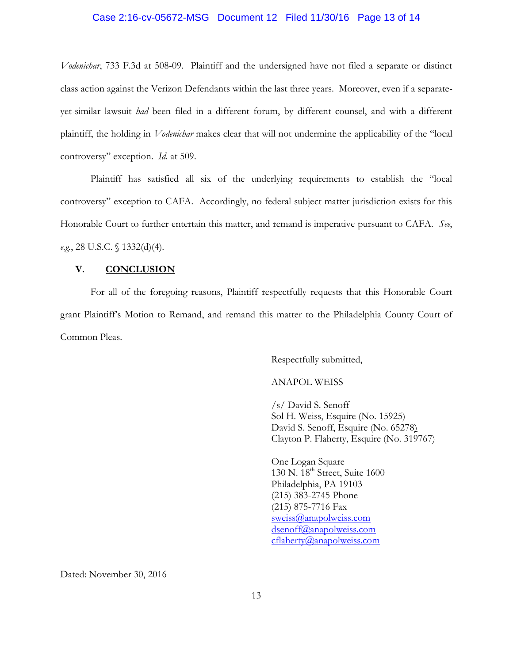#### Case 2:16-cv-05672-MSG Document 12 Filed 11/30/16 Page 13 of 14

*Vodenichar*, 733 F.3d at 508-09. Plaintiff and the undersigned have not filed a separate or distinct class action against the Verizon Defendants within the last three years. Moreover, even if a separateyet-similar lawsuit *had* been filed in a different forum, by different counsel, and with a different plaintiff, the holding in *Vodenichar* makes clear that will not undermine the applicability of the "local controversy" exception. *Id*. at 509.

Plaintiff has satisfied all six of the underlying requirements to establish the "local controversy" exception to CAFA. Accordingly, no federal subject matter jurisdiction exists for this Honorable Court to further entertain this matter, and remand is imperative pursuant to CAFA. *See*, *e.g.*, 28 U.S.C. § 1332(d)(4).

#### **V. CONCLUSION**

For all of the foregoing reasons, Plaintiff respectfully requests that this Honorable Court grant Plaintiff's Motion to Remand, and remand this matter to the Philadelphia County Court of Common Pleas.

Respectfully submitted,

### ANAPOL WEISS

/s/ David S. Senoff Sol H. Weiss, Esquire (No. 15925) David S. Senoff, Esquire (No. 65278) Clayton P. Flaherty, Esquire (No. 319767)

One Logan Square 130 N. 18<sup>th</sup> Street, Suite 1600 Philadelphia, PA 19103 (215) 383-2745 Phone (215) 875-7716 Fax [sweiss@anapolweiss.com](mailto:sweiss@anapolweiss.com) [dsenoff@anapolweiss.com](mailto:dsenoff@anapolweiss.com) [cflaherty@anapolweiss.com](mailto:cflaherty@anapolweiss.com)

Dated: November 30, 2016